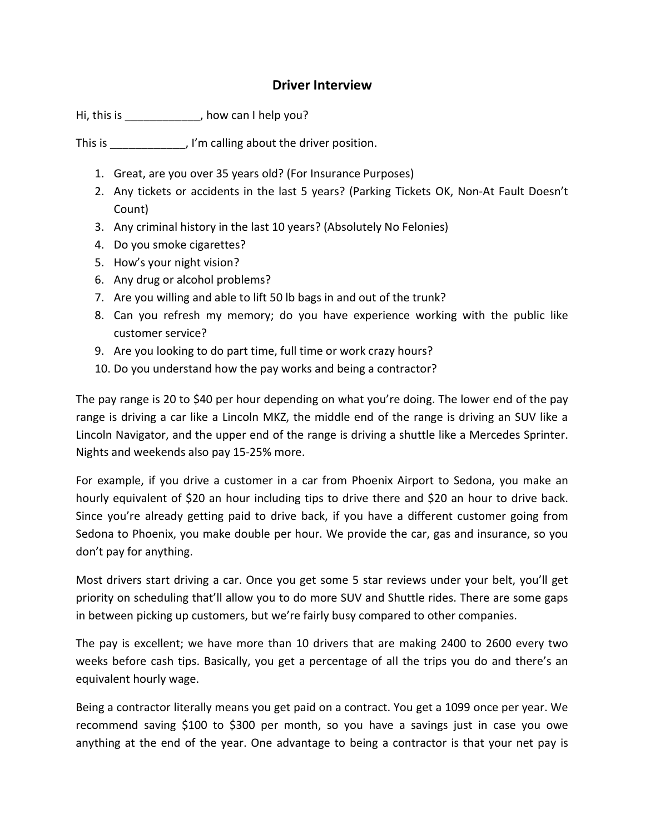## Driver Interview

Hi, this is \_\_\_\_\_\_\_\_\_\_\_\_, how can I help you?

This is \_\_\_\_\_\_\_\_\_\_\_\_, I'm calling about the driver position.

- 1. Great, are you over 35 years old? (For Insurance Purposes)
- 2. Any tickets or accidents in the last 5 years? (Parking Tickets OK, Non-At Fault Doesn't Count)
- 3. Any criminal history in the last 10 years? (Absolutely No Felonies)
- 4. Do you smoke cigarettes?
- 5. How's your night vision?
- 6. Any drug or alcohol problems?
- 7. Are you willing and able to lift 50 lb bags in and out of the trunk?
- 8. Can you refresh my memory; do you have experience working with the public like customer service?
- 9. Are you looking to do part time, full time or work crazy hours?
- 10. Do you understand how the pay works and being a contractor?

The pay range is 20 to \$40 per hour depending on what you're doing. The lower end of the pay range is driving a car like a Lincoln MKZ, the middle end of the range is driving an SUV like a Lincoln Navigator, and the upper end of the range is driving a shuttle like a Mercedes Sprinter. Nights and weekends also pay 15-25% more.

For example, if you drive a customer in a car from Phoenix Airport to Sedona, you make an hourly equivalent of \$20 an hour including tips to drive there and \$20 an hour to drive back. Since you're already getting paid to drive back, if you have a different customer going from Sedona to Phoenix, you make double per hour. We provide the car, gas and insurance, so you don't pay for anything.

Most drivers start driving a car. Once you get some 5 star reviews under your belt, you'll get priority on scheduling that'll allow you to do more SUV and Shuttle rides. There are some gaps in between picking up customers, but we're fairly busy compared to other companies.

The pay is excellent; we have more than 10 drivers that are making 2400 to 2600 every two weeks before cash tips. Basically, you get a percentage of all the trips you do and there's an equivalent hourly wage.

Being a contractor literally means you get paid on a contract. You get a 1099 once per year. We recommend saving \$100 to \$300 per month, so you have a savings just in case you owe anything at the end of the year. One advantage to being a contractor is that your net pay is